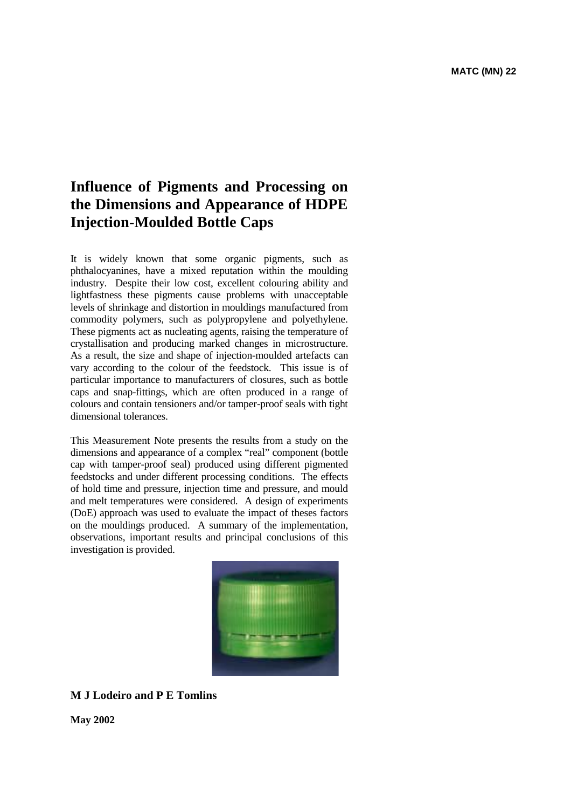# **Influence of Pigments and Processing on the Dimensions and Appearance of HDPE Injection-Moulded Bottle Caps**

It is widely known that some organic pigments, such as phthalocyanines, have a mixed reputation within the moulding industry. Despite their low cost, excellent colouring ability and lightfastness these pigments cause problems with unacceptable levels of shrinkage and distortion in mouldings manufactured from commodity polymers, such as polypropylene and polyethylene. These pigments act as nucleating agents, raising the temperature of crystallisation and producing marked changes in microstructure. As a result, the size and shape of injection-moulded artefacts can vary according to the colour of the feedstock. This issue is of particular importance to manufacturers of closures, such as bottle caps and snap-fittings, which are often produced in a range of colours and contain tensioners and/or tamper-proof seals with tight dimensional tolerances.

This Measurement Note presents the results from a study on the dimensions and appearance of a complex "real" component (bottle cap with tamper-proof seal) produced using different pigmented feedstocks and under different processing conditions. The effects of hold time and pressure, injection time and pressure, and mould and melt temperatures were considered. A design of experiments (DoE) approach was used to evaluate the impact of theses factors on the mouldings produced. A summary of the implementation, observations, important results and principal conclusions of this investigation is provided.



# **M J Lodeiro and P E Tomlins**

**May 2002**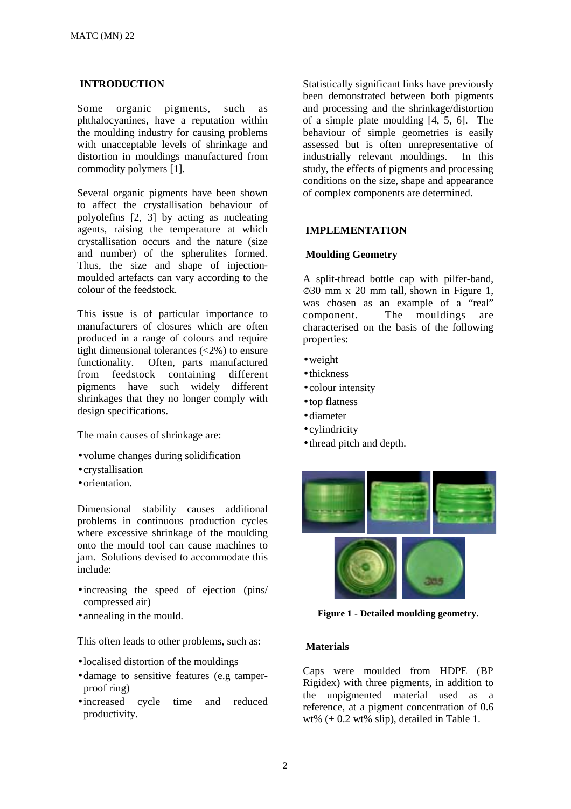## **INTRODUCTION**

Some organic pigments, such as phthalocyanines, have a reputation within the moulding industry for causing problems with unacceptable levels of shrinkage and distortion in mouldings manufactured from commodity polymers [1].

Several organic pigments have been shown to affect the crystallisation behaviour of polyolefins [2, 3] by acting as nucleating agents, raising the temperature at which crystallisation occurs and the nature (size and number) of the spherulites formed. Thus, the size and shape of injectionmoulded artefacts can vary according to the colour of the feedstock.

This issue is of particular importance to manufacturers of closures which are often produced in a range of colours and require tight dimensional tolerances (<2%) to ensure functionality. Often, parts manufactured from feedstock containing different pigments have such widely different shrinkages that they no longer comply with design specifications.

The main causes of shrinkage are:

- volume changes during solidification
- crystallisation
- orientation.

Dimensional stability causes additional problems in continuous production cycles where excessive shrinkage of the moulding onto the mould tool can cause machines to jam. Solutions devised to accommodate this include:

- increasing the speed of ejection (pins/ compressed air)
- annealing in the mould.

This often leads to other problems, such as:

- localised distortion of the mouldings
- damage to sensitive features (e.g tamperproof ring)
- increased cycle time and reduced productivity.

Statistically significant links have previously been demonstrated between both pigments and processing and the shrinkage/distortion of a simple plate moulding [4, 5, 6]. The behaviour of simple geometries is easily assessed but is often unrepresentative of industrially relevant mouldings. In this study, the effects of pigments and processing conditions on the size, shape and appearance of complex components are determined.

#### **IMPLEMENTATION**

#### **Moulding Geometry**

A split-thread bottle cap with pilfer-band, ∅30 mm x 20 mm tall, shown in Figure 1, was chosen as an example of a "real" component. The mouldings are characterised on the basis of the following properties:

- •weight
- thickness
- colour intensity
- top flatness
- diameter
- cylindricity
- thread pitch and depth.



**Figure 1 - Detailed moulding geometry.** 

## **Materials**

Caps were moulded from HDPE (BP Rigidex) with three pigments, in addition to the unpigmented material used as a reference, at a pigment concentration of 0.6 wt% (+ 0.2 wt% slip), detailed in Table 1.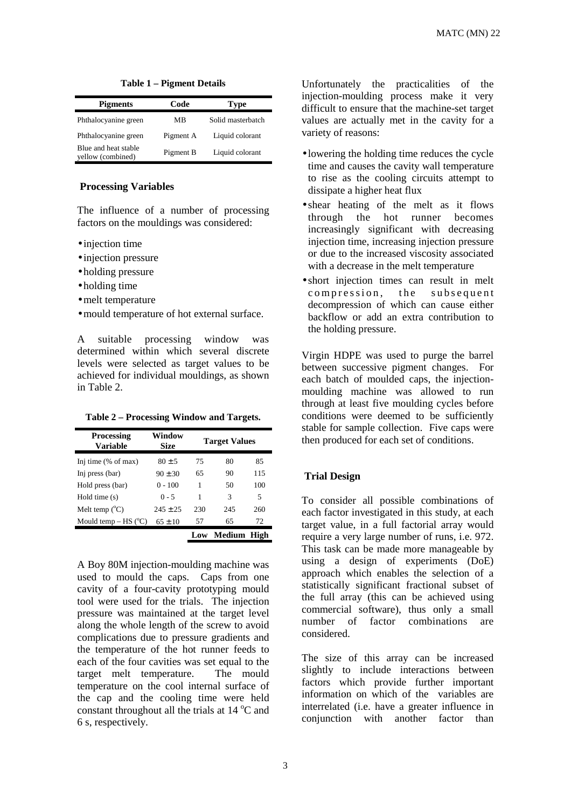| <b>Pigments</b>                           | Code      | <b>Type</b>       |
|-------------------------------------------|-----------|-------------------|
| Phthalocyanine green                      | МB        | Solid masterbatch |
| Phthalocyanine green                      | Pigment A | Liquid colorant   |
| Blue and heat stable<br>yellow (combined) | Pigment B | Liquid colorant   |

**Table 1 – Pigment Details**

## **Processing Variables**

The influence of a number of processing factors on the mouldings was considered:

- injection time
- injection pressure
- holding pressure
- holding time
- melt temperature
- mould temperature of hot external surface.

A suitable processing window was determined within which several discrete levels were selected as target values to be achieved for individual mouldings, as shown in Table 2.

**Table 2 – Processing Window and Targets.**

| <b>Processing</b><br><b>Variable</b> | Window<br>Size | <b>Target Values</b> |               |      |  |
|--------------------------------------|----------------|----------------------|---------------|------|--|
| Inj time $(\%$ of max)               | $80 \pm 5$     | 75                   | 80            | 85   |  |
| Inj press (bar)                      | $90 \pm 30$    | 65                   | 90            | 115  |  |
| Hold press (bar)                     | $0 - 100$      | 1                    | 50            | 100  |  |
| Hold time $(s)$                      | $0 - 5$        | 1                    | 3             | 5    |  |
| Melt temp $(^{\circ}C)$              | $245 \pm 25$   | 230                  | 245           | 260  |  |
| Mould temp $-$ HS ( $\rm{°C}$ )      | $65 \pm 10$    | 57<br>65             |               | 72   |  |
|                                      |                | Low                  | <b>Medium</b> | High |  |

A Boy 80M injection-moulding machine was used to mould the caps. Caps from one cavity of a four-cavity prototyping mould tool were used for the trials. The injection pressure was maintained at the target level along the whole length of the screw to avoid complications due to pressure gradients and the temperature of the hot runner feeds to each of the four cavities was set equal to the target melt temperature. The mould temperature on the cool internal surface of the cap and the cooling time were held constant throughout all the trials at  $14^{\circ}$ C and 6 s, respectively.

Unfortunately the practicalities of the injection-moulding process make it very difficult to ensure that the machine-set target values are actually met in the cavity for a variety of reasons:

- lowering the holding time reduces the cycle time and causes the cavity wall temperature to rise as the cooling circuits attempt to dissipate a higher heat flux
- shear heating of the melt as it flows through the hot runner becomes increasingly significant with decreasing injection time, increasing injection pressure or due to the increased viscosity associated with a decrease in the melt temperature
- short injection times can result in melt compression, the subsequent decompression of which can cause either backflow or add an extra contribution to the holding pressure.

Virgin HDPE was used to purge the barrel between successive pigment changes. For each batch of moulded caps, the injectionmoulding machine was allowed to run through at least five moulding cycles before conditions were deemed to be sufficiently stable for sample collection. Five caps were then produced for each set of conditions.

#### **Trial Design**

To consider all possible combinations of each factor investigated in this study, at each target value, in a full factorial array would require a very large number of runs, i.e. 972. This task can be made more manageable by using a design of experiments (DoE) approach which enables the selection of a statistically significant fractional subset of the full array (this can be achieved using commercial software), thus only a small number of factor combinations are considered.

The size of this array can be increased slightly to include interactions between factors which provide further important information on which of the variables are interrelated (i.e. have a greater influence in conjunction with another factor than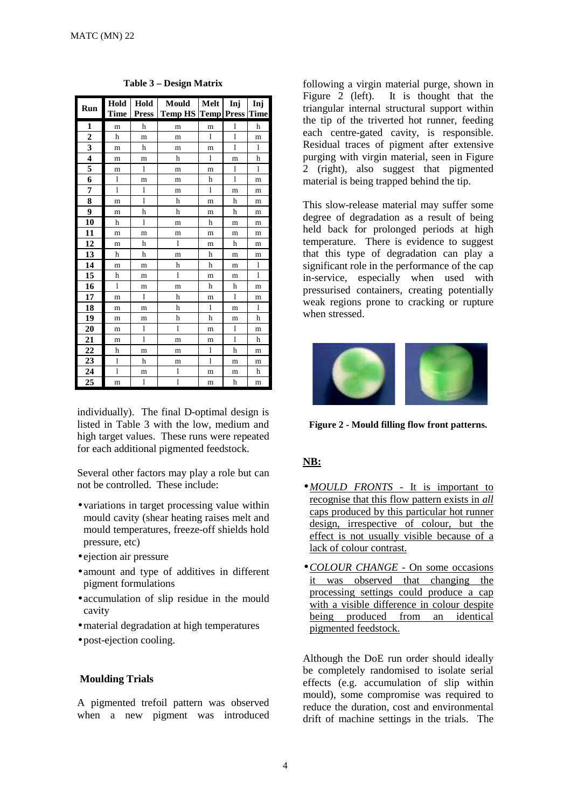| Run                     | <b>Hold</b>  | Hold | Mould<br>Time   Press   Temp HS   Temp   Press   Time | Melt         | Inj          | Inj          |
|-------------------------|--------------|------|-------------------------------------------------------|--------------|--------------|--------------|
| 1                       | m            | h    | m                                                     | m            | $\mathbf{1}$ | h            |
| $\overline{\mathbf{c}}$ | h            | m    | m                                                     | 1            | $\mathbf{1}$ | m            |
| 3                       | m            | h    | m                                                     | m            | $\mathbf{1}$ | $\mathbf{1}$ |
| $\overline{\mathbf{4}}$ | m            | m    | h                                                     | $\mathbf{1}$ | m            | h            |
| 5                       | m            | 1    | m                                                     | m            | $\mathbf{1}$ | 1            |
| 6                       | 1            | m    | m                                                     | h            | 1            | m            |
| 7                       | $\mathbf{1}$ | 1    | m                                                     | $\mathbf{1}$ | m            | m            |
| 8                       | m            | 1    | h                                                     | m            | h            | m            |
| 9                       | m            | h    | h                                                     | m            | h            | m            |
| 10                      | h            | 1    | m                                                     | h            | m            | m            |
| 11                      | m            | m    | m                                                     | m            | m            | m            |
| 12                      | m            | h    | 1                                                     | m            | h            | m            |
| 13                      | h            | h    | m                                                     | h            | m            | m            |
| 14                      | m            | m    | h                                                     | h            | m            | $\mathbf{1}$ |
| 15                      | h            | m    | 1                                                     | m            | m            | 1            |
| 16                      | $\mathbf{1}$ | m    | m                                                     | h            | h            | m            |
| 17                      | m            | 1    | h                                                     | m            | 1            | m            |
| 18                      | m            | m    | h                                                     | $\mathbf{1}$ | m            | 1            |
| 19                      | m            | m    | h                                                     | h            | m            | h            |
| 20                      | m            | 1    | 1                                                     | m            | 1            | m            |
| 21                      | m            | 1    | m                                                     | m            | $\mathbf{1}$ | h            |
| 22                      | h            | m    | m                                                     | $\mathbf{1}$ | h            | m            |
| 23                      | $\mathbf{1}$ | h    | m                                                     | 1            | m            | m            |
| 24                      | $\mathbf{1}$ | m    | 1                                                     | m            | m            | h            |
| 25                      | m            | 1    | $\mathbf{1}$                                          | m            | h            | m            |

**Table 3 – Design Matrix**

individually). The final D-optimal design is listed in Table 3 with the low, medium and high target values. These runs were repeated for each additional pigmented feedstock.

Several other factors may play a role but can not be controlled. These include:

- variations in target processing value within mould cavity (shear heating raises melt and mould temperatures, freeze-off shields hold pressure, etc)
- ejection air pressure
- amount and type of additives in different pigment formulations
- accumulation of slip residue in the mould cavity
- •material degradation at high temperatures
- post-ejection cooling.

## **Moulding Trials**

A pigmented trefoil pattern was observed when a new pigment was introduced following a virgin material purge, shown in Figure 2 (left). It is thought that the triangular internal structural support within the tip of the triverted hot runner, feeding each centre-gated cavity, is responsible. Residual traces of pigment after extensive purging with virgin material, seen in Figure 2 (right), also suggest that pigmented material is being trapped behind the tip.

This slow-release material may suffer some degree of degradation as a result of being held back for prolonged periods at high temperature. There is evidence to suggest that this type of degradation can play a significant role in the performance of the cap in-service, especially when used with pressurised containers, creating potentially weak regions prone to cracking or rupture when stressed.



**Figure 2 - Mould filling flow front patterns.** 

# **NB:**

- •*MOULD FRONTS*  It is important to recognise that this flow pattern exists in *all* caps produced by this particular hot runner design, irrespective of colour, but the effect is not usually visible because of a lack of colour contrast.
- •*COLOUR CHANGE*  On some occasions it was observed that changing the processing settings could produce a cap with a visible difference in colour despite being produced from an identical pigmented feedstock.

Although the DoE run order should ideally be completely randomised to isolate serial effects (e.g. accumulation of slip within mould), some compromise was required to reduce the duration, cost and environmental drift of machine settings in the trials. The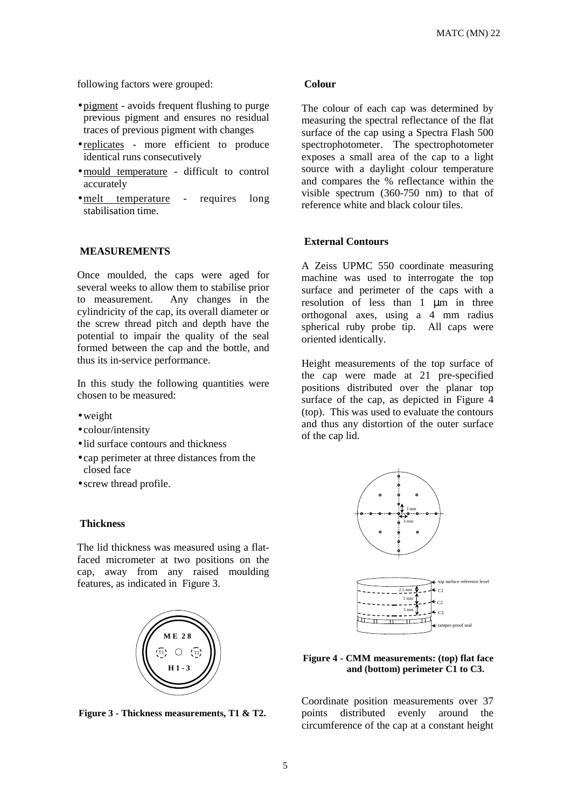following factors were grouped:

- pigment avoids frequent flushing to purge previous pigment and ensures no residual traces of previous pigment with changes
- replicates more efficient to produce identical runs consecutively
- •mould temperature difficult to control accurately
- melt temperature requires long stabilisation time.

## **MEASUREMENTS**

Once moulded, the caps were aged for several weeks to allow them to stabilise prior to measurement. Any changes in the cylindricity of the cap, its overall diameter or the screw thread pitch and depth have the potential to impair the quality of the seal formed between the cap and the bottle, and thus its in-service performance.

In this study the following quantities were chosen to be measured:

- •weight
- colour/intensity
- lid surface contours and thickness
- cap perimeter at three distances from the closed face
- screw thread profile.

## **Thickness**

The lid thickness was measured using a flatfaced micrometer at two positions on the cap, away from any raised moulding features, as indicated in Figure 3.



**Figure 3 - Thickness measurements, T1 & T2.** 

#### **Colour**

The colour of each cap was determined by measuring the spectral reflectance of the flat surface of the cap using a Spectra Flash 500 spectrophotometer. The spectrophotometer exposes a small area of the cap to a light source with a daylight colour temperature and compares the % reflectance within the visible spectrum (360-750 nm) to that of reference white and black colour tiles.

## **External Contours**

A Zeiss UPMC 550 coordinate measuring machine was used to interrogate the top surface and perimeter of the caps with a resolution of less than 1 µm in three orthogonal axes, using a 4 mm radius spherical ruby probe tip. All caps were oriented identically.

Height measurements of the top surface of the cap were made at 21 pre-specified positions distributed over the planar top surface of the cap, as depicted in Figure 4 (top). This was used to evaluate the contours and thus any distortion of the outer surface of the cap lid.



## **Figure 4 - CMM measurements: (top) flat face and (bottom) perimeter C1 to C3.**

Coordinate position measurements over 37 points distributed evenly around the circumference of the cap at a constant height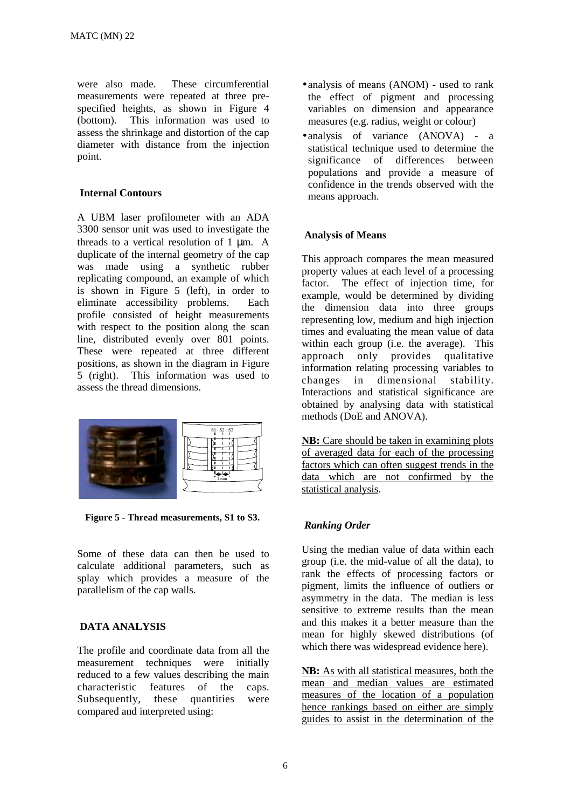were also made. These circumferential measurements were repeated at three prespecified heights, as shown in Figure 4 (bottom). This information was used to assess the shrinkage and distortion of the cap diameter with distance from the injection point.

## **Internal Contours**

A UBM laser profilometer with an ADA 3300 sensor unit was used to investigate the threads to a vertical resolution of 1 µm. A duplicate of the internal geometry of the cap was made using a synthetic rubber replicating compound, an example of which is shown in Figure 5 (left), in order to eliminate accessibility problems. Each profile consisted of height measurements with respect to the position along the scan line, distributed evenly over 801 points. These were repeated at three different positions, as shown in the diagram in Figure 5 (right). This information was used to assess the thread dimensions.



**Figure 5 - Thread measurements, S1 to S3.** 

Some of these data can then be used to calculate additional parameters, such as splay which provides a measure of the parallelism of the cap walls.

## **DATA ANALYSIS**

The profile and coordinate data from all the measurement techniques were initially reduced to a few values describing the main characteristic features of the caps. Subsequently, these quantities were compared and interpreted using:

- analysis of means (ANOM) used to rank the effect of pigment and processing variables on dimension and appearance measures (e.g. radius, weight or colour)
- analysis of variance (ANOVA) a statistical technique used to determine the significance of differences between populations and provide a measure of confidence in the trends observed with the means approach.

## **Analysis of Means**

This approach compares the mean measured property values at each level of a processing factor. The effect of injection time, for example, would be determined by dividing the dimension data into three groups representing low, medium and high injection times and evaluating the mean value of data within each group (i.e. the average). This approach only provides qualitative information relating processing variables to changes in dimensional stability. Interactions and statistical significance are obtained by analysing data with statistical methods (DoE and ANOVA).

**NB:** Care should be taken in examining plots of averaged data for each of the processing factors which can often suggest trends in the data which are not confirmed by the statistical analysis.

# *Ranking Order*

Using the median value of data within each group (i.e. the mid-value of all the data), to rank the effects of processing factors or pigment, limits the influence of outliers or asymmetry in the data. The median is less sensitive to extreme results than the mean and this makes it a better measure than the mean for highly skewed distributions (of which there was widespread evidence here).

**NB:** As with all statistical measures, both the mean and median values are estimated measures of the location of a population hence rankings based on either are simply guides to assist in the determination of the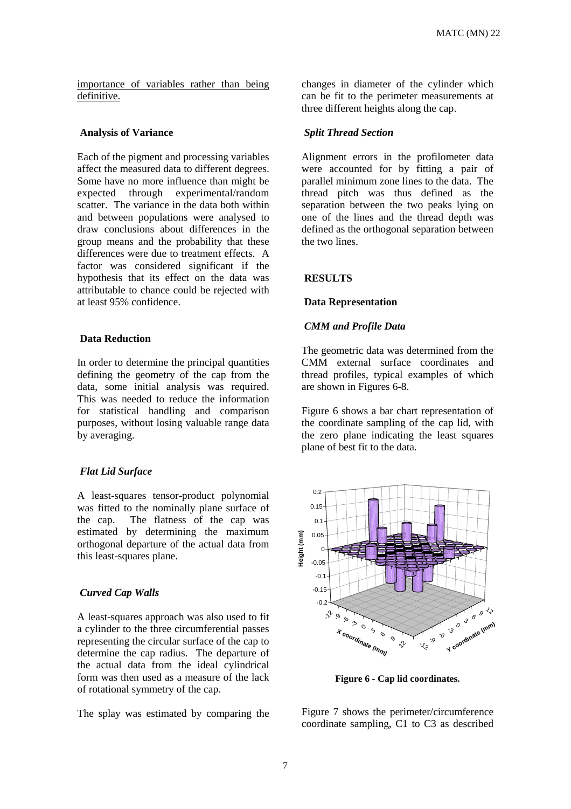importance of variables rather than being definitive.

#### **Analysis of Variance**

Each of the pigment and processing variables affect the measured data to different degrees. Some have no more influence than might be expected through experimental/random scatter. The variance in the data both within and between populations were analysed to draw conclusions about differences in the group means and the probability that these differences were due to treatment effects. A factor was considered significant if the hypothesis that its effect on the data was attributable to chance could be rejected with at least 95% confidence.

## **Data Reduction**

In order to determine the principal quantities defining the geometry of the cap from the data, some initial analysis was required. This was needed to reduce the information for statistical handling and comparison purposes, without losing valuable range data by averaging.

#### *Flat Lid Surface*

A least-squares tensor-product polynomial was fitted to the nominally plane surface of the cap. The flatness of the cap was estimated by determining the maximum orthogonal departure of the actual data from this least-squares plane.

## *Curved Cap Walls*

A least-squares approach was also used to fit a cylinder to the three circumferential passes representing the circular surface of the cap to determine the cap radius. The departure of the actual data from the ideal cylindrical form was then used as a measure of the lack of rotational symmetry of the cap.

The splay was estimated by comparing the

changes in diameter of the cylinder which can be fit to the perimeter measurements at three different heights along the cap.

## *Split Thread Section*

Alignment errors in the profilometer data were accounted for by fitting a pair of parallel minimum zone lines to the data. The thread pitch was thus defined as the separation between the two peaks lying on one of the lines and the thread depth was defined as the orthogonal separation between the two lines.

#### **RESULTS**

#### **Data Representation**

#### *CMM and Profile Data*

The geometric data was determined from the CMM external surface coordinates and thread profiles, typical examples of which are shown in Figures 6-8.

Figure 6 shows a bar chart representation of the coordinate sampling of the cap lid, with the zero plane indicating the least squares plane of best fit to the data.



**Figure 6 - Cap lid coordinates.** 

Figure 7 shows the perimeter/circumference coordinate sampling, C1 to C3 as described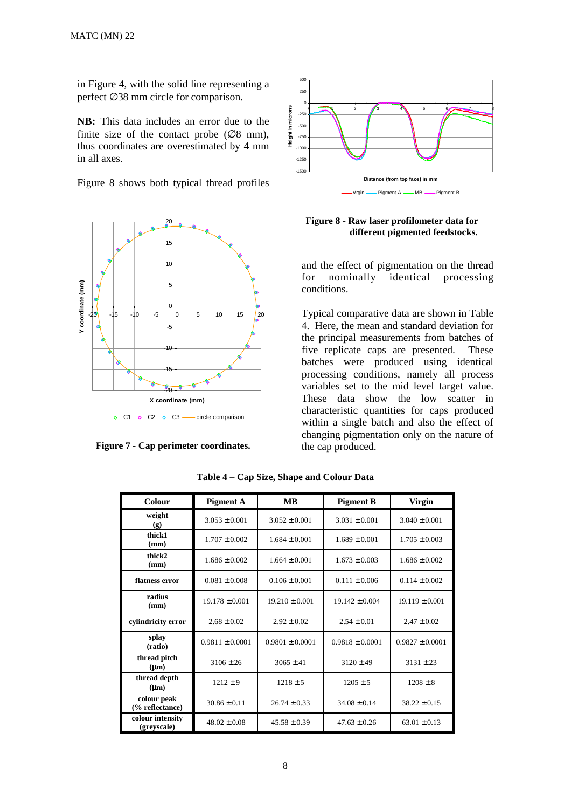in Figure 4, with the solid line representing a perfect ∅38 mm circle for comparison.

**NB:** This data includes an error due to the finite size of the contact probe  $(\emptyset 8 \text{ mm})$ , thus coordinates are overestimated by 4 mm in all axes.

Figure 8 shows both typical thread profiles



**Figure 7 - Cap perimeter coordinates.** 



## **Figure 8 - Raw laser profilometer data for different pigmented feedstocks.**

and the effect of pigmentation on the thread for nominally identical processing conditions.

Typical comparative data are shown in Table 4. Here, the mean and standard deviation for the principal measurements from batches of five replicate caps are presented. These batches were produced using identical processing conditions, namely all process variables set to the mid level target value. These data show the low scatter in characteristic quantities for caps produced within a single batch and also the effect of changing pigmentation only on the nature of the cap produced.

| Colour                          | <b>Pigment A</b>    | <b>MB</b>           | <b>Pigment B</b>    | <b>Virgin</b>       |
|---------------------------------|---------------------|---------------------|---------------------|---------------------|
| weight<br>(g)                   | $3.053 \pm 0.001$   | $3.052 \pm 0.001$   | $3.031 \pm 0.001$   | $3.040 \pm 0.001$   |
| thick1<br>(mm)                  | $1.707 \pm 0.002$   | $1.684 \pm 0.001$   | $1.689 \pm 0.001$   | $1.705 \pm 0.003$   |
| thick2<br>(mm)                  | $1.686 \pm 0.002$   | $1.664 \pm 0.001$   | $1.673 \pm 0.003$   | $1.686 \pm 0.002$   |
| flatness error                  | $0.081 \pm 0.008$   | $0.106 \pm 0.001$   | $0.111 \pm 0.006$   | $0.114 \pm 0.002$   |
| radius<br>(mm)                  | $19.178 \pm 0.001$  | $19.210 \pm 0.001$  | $19.142 \pm 0.004$  | $19.119 \pm 0.001$  |
| cylindricity error              | $2.68 \pm 0.02$     | $2.92 \pm 0.02$     | $2.54 \pm 0.01$     | $2.47 \pm 0.02$     |
| splay<br>(ratio)                | $0.9811 \pm 0.0001$ | $0.9801 \pm 0.0001$ | $0.9818 \pm 0.0001$ | $0.9827 \pm 0.0001$ |
| thread pitch<br>$(\mu m)$       | $3106 \pm 26$       | $3065 \pm 41$       | $3120 \pm 49$       | $3131 \pm 23$       |
| thread depth<br>$(\mu m)$       | $1212 \pm 9$        | $1218 \pm 5$        | $1205 \pm 5$        | $1208 \pm 8$        |
| colour peak<br>(% reflectance)  | $30.86 \pm 0.11$    | $26.74 \pm 0.33$    | $34.08 \pm 0.14$    | $38.22 \pm 0.15$    |
| colour intensity<br>(greyscale) | $48.02 \pm 0.08$    | $45.58 \pm 0.39$    | $47.63 \pm 0.26$    | $63.01 \pm 0.13$    |

**Table 4 – Cap Size, Shape and Colour Data**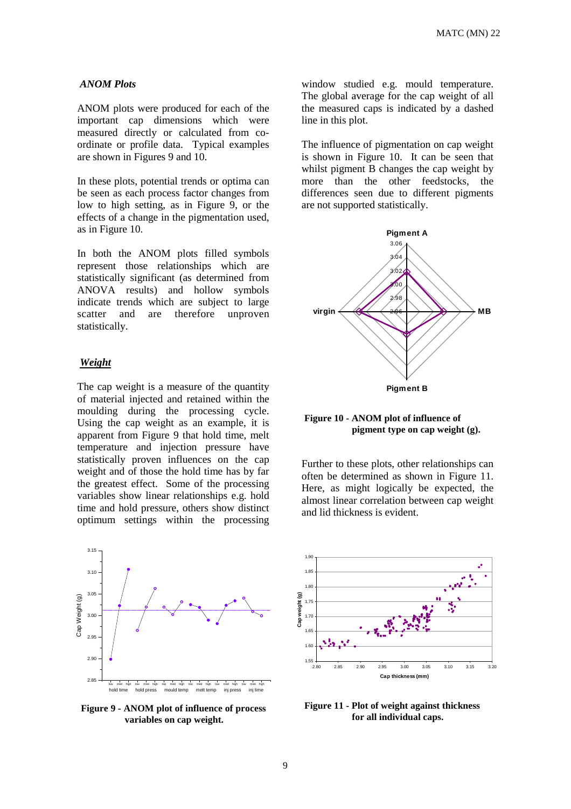#### *ANOM Plots*

ANOM plots were produced for each of the important cap dimensions which were measured directly or calculated from coordinate or profile data. Typical examples are shown in Figures 9 and 10.

In these plots, potential trends or optima can be seen as each process factor changes from low to high setting, as in Figure 9, or the effects of a change in the pigmentation used, as in Figure 10.

In both the ANOM plots filled symbols represent those relationships which are statistically significant (as determined from ANOVA results) and hollow symbols indicate trends which are subject to large scatter and are therefore unproven statistically.

## *Weight*

The cap weight is a measure of the quantity of material injected and retained within the moulding during the processing cycle. Using the cap weight as an example, it is apparent from Figure 9 that hold time, melt temperature and injection pressure have statistically proven influences on the cap weight and of those the hold time has by far the greatest effect. Some of the processing variables show linear relationships e.g. hold time and hold pressure, others show distinct optimum settings within the processing



**Figure 9 - ANOM plot of influence of process variables on cap weight.** 

window studied e.g. mould temperature. The global average for the cap weight of all the measured caps is indicated by a dashed line in this plot.

The influence of pigmentation on cap weight is shown in Figure 10. It can be seen that whilst pigment B changes the cap weight by more than the other feedstocks, the differences seen due to different pigments are not supported statistically.



**Figure 10 - ANOM plot of influence of pigment type on cap weight (g).** 

Further to these plots, other relationships can often be determined as shown in Figure 11. Here, as might logically be expected, the almost linear correlation between cap weight and lid thickness is evident.



**Figure 11 - Plot of weight against thickness for all individual caps.**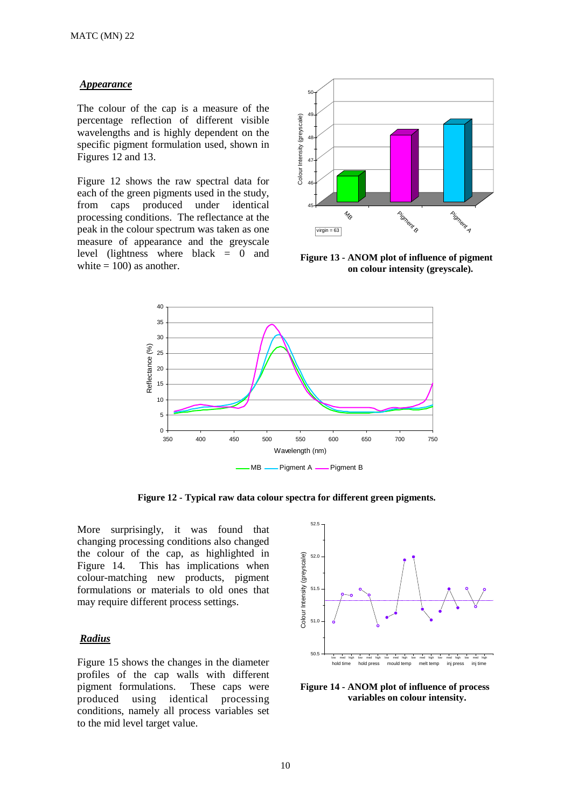#### *Appearance*

The colour of the cap is a measure of the percentage reflection of different visible wavelengths and is highly dependent on the specific pigment formulation used, shown in Figures 12 and 13.

Figure 12 shows the raw spectral data for each of the green pigments used in the study, from caps produced under identical processing conditions. The reflectance at the peak in the colour spectrum was taken as one measure of appearance and the greyscale level (lightness where black = 0 and white  $= 100$ ) as another.



**Figure 13 - ANOM plot of influence of pigment on colour intensity (greyscale).** 



**Figure 12 - Typical raw data colour spectra for different green pigments.** 

More surprisingly, it was found that changing processing conditions also changed the colour of the cap, as highlighted in Figure 14. This has implications when colour-matching new products, pigment formulations or materials to old ones that may require different process settings.

## *Radius*

Figure 15 shows the changes in the diameter profiles of the cap walls with different pigment formulations. These caps were produced using identical processing conditions, namely all process variables set to the mid level target value.



**Figure 14 - ANOM plot of influence of process variables on colour intensity.**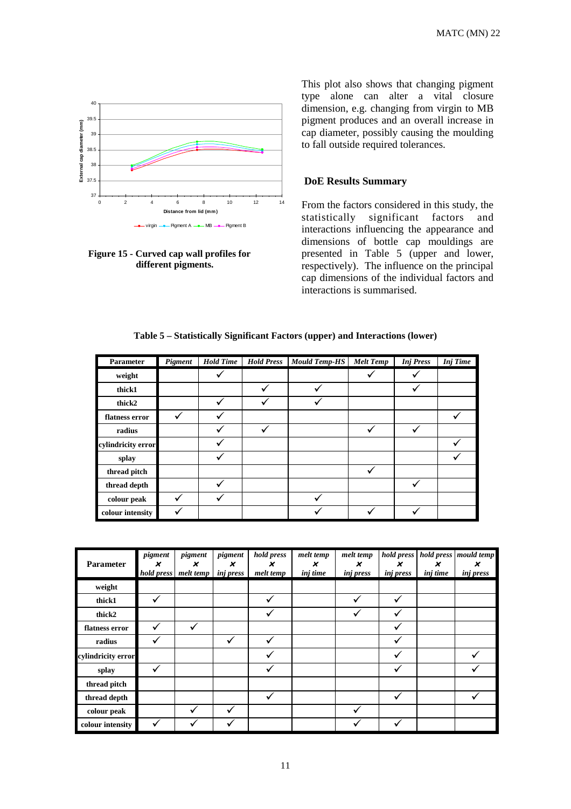

**Figure 15 - Curved cap wall profiles for different pigments.** 

This plot also shows that changing pigment type alone can alter a vital closure dimension, e.g. changing from virgin to MB pigment produces and an overall increase in cap diameter, possibly causing the moulding to fall outside required tolerances.

## **DoE Results Summary**

From the factors considered in this study, the statistically significant factors and interactions influencing the appearance and dimensions of bottle cap mouldings are presented in Table 5 (upper and lower, respectively). The influence on the principal cap dimensions of the individual factors and interactions is summarised.

|  |  | Table 5 – Statistically Significant Factors (upper) and Interactions (lower) |  |  |  |
|--|--|------------------------------------------------------------------------------|--|--|--|
|--|--|------------------------------------------------------------------------------|--|--|--|

| Parameter          | Pigment | <b>Hold Time</b> | <b>Hold Press</b> | <b>Mould Temp-HS</b> | <b>Melt Temp</b> | <b>Inj Press</b> | <b>Inj</b> Time |
|--------------------|---------|------------------|-------------------|----------------------|------------------|------------------|-----------------|
| weight             |         |                  |                   |                      |                  |                  |                 |
| thick1             |         |                  |                   |                      |                  |                  |                 |
| thick2             |         |                  |                   |                      |                  |                  |                 |
| flatness error     |         |                  |                   |                      |                  |                  |                 |
| radius             |         |                  |                   |                      |                  |                  |                 |
| cylindricity error |         |                  |                   |                      |                  |                  |                 |
| splay              |         |                  |                   |                      |                  |                  |                 |
| thread pitch       |         |                  |                   |                      |                  |                  |                 |
| thread depth       |         |                  |                   |                      |                  |                  |                 |
| colour peak        |         |                  |                   |                      |                  |                  |                 |
| colour intensity   |         |                  |                   |                      |                  |                  |                 |

| Parameter          | pigment<br>× | pigment<br>×<br>hold press melt temp | pigment<br>$\boldsymbol{\mathsf{x}}$<br><i>inj press</i> | hold press<br>×<br>melt temp | melt temp<br>×<br>inj time | melt temp<br>$\boldsymbol{\mathsf{x}}$<br>inj press | hold press<br>×<br><i>inj press</i> | hold press<br>×<br>inj time | mould temp<br>×<br><i>inj</i> press |
|--------------------|--------------|--------------------------------------|----------------------------------------------------------|------------------------------|----------------------------|-----------------------------------------------------|-------------------------------------|-----------------------------|-------------------------------------|
| weight             |              |                                      |                                                          |                              |                            |                                                     |                                     |                             |                                     |
| thick1             | ✓            |                                      |                                                          | V                            |                            |                                                     |                                     |                             |                                     |
| thick2             |              |                                      |                                                          | v                            |                            |                                                     |                                     |                             |                                     |
| flatness error     | ✓            | $\checkmark$                         |                                                          |                              |                            |                                                     | v                                   |                             |                                     |
| radius             | ✔            |                                      |                                                          |                              |                            |                                                     |                                     |                             |                                     |
| cylindricity error |              |                                      |                                                          |                              |                            |                                                     | v                                   |                             |                                     |
| splay              | ✓            |                                      |                                                          |                              |                            |                                                     |                                     |                             |                                     |
| thread pitch       |              |                                      |                                                          |                              |                            |                                                     |                                     |                             |                                     |
| thread depth       |              |                                      |                                                          | ✓                            |                            |                                                     | ✓                                   |                             |                                     |
| colour peak        |              |                                      |                                                          |                              |                            |                                                     |                                     |                             |                                     |
| colour intensity   | ✓            |                                      |                                                          |                              |                            |                                                     |                                     |                             |                                     |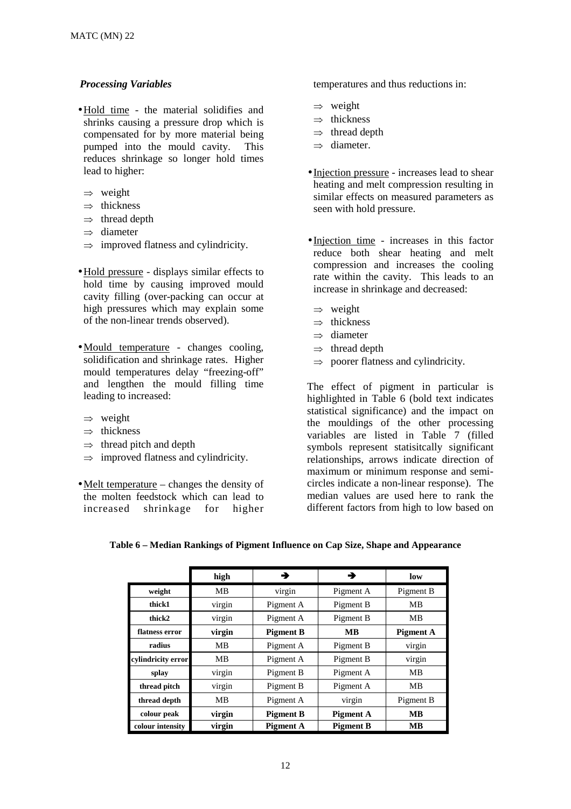## *Processing Variables*

- •Hold time the material solidifies and shrinks causing a pressure drop which is compensated for by more material being pumped into the mould cavity. This reduces shrinkage so longer hold times lead to higher:
- $\Rightarrow$  weight
- $\Rightarrow$  thickness
- $\Rightarrow$  thread depth
- ⇒ diameter
- $\Rightarrow$  improved flatness and cylindricity.
- •Hold pressure displays similar effects to hold time by causing improved mould cavity filling (over-packing can occur at high pressures which may explain some of the non-linear trends observed).
- Mould temperature changes cooling, solidification and shrinkage rates. Higher mould temperatures delay "freezing-off" and lengthen the mould filling time leading to increased:
	- ⇒ weight
	- $\Rightarrow$  thickness
	- $\Rightarrow$  thread pitch and depth
	- $\Rightarrow$  improved flatness and cylindricity.
- Melt temperature changes the density of the molten feedstock which can lead to increased shrinkage for higher

temperatures and thus reductions in:

- ⇒ weight
- ⇒ thickness
- $\Rightarrow$  thread depth
- ⇒ diameter.
- Injection pressure increases lead to shear heating and melt compression resulting in similar effects on measured parameters as seen with hold pressure.
- Injection time increases in this factor reduce both shear heating and melt compression and increases the cooling rate within the cavity. This leads to an increase in shrinkage and decreased:
	- $\Rightarrow$  weight
- ⇒ thickness
- ⇒ diameter
- $\Rightarrow$  thread depth
- $\Rightarrow$  poorer flatness and cylindricity.

The effect of pigment in particular is highlighted in Table 6 (bold text indicates statistical significance) and the impact on the mouldings of the other processing variables are listed in Table 7 (filled symbols represent statisitcally significant relationships, arrows indicate direction of maximum or minimum response and semicircles indicate a non-linear response). The median values are used here to rank the different factors from high to low based on

|                    | high   | →                | →                | low              |
|--------------------|--------|------------------|------------------|------------------|
| weight             | MB     | virgin           | Pigment A        | Pigment B        |
| thick1             | virgin | Pigment A        | Pigment B        | МB               |
| thick2             | virgin | Pigment A        | Pigment B        | MВ               |
| flatness error     | virgin | <b>Pigment B</b> | MВ               | <b>Pigment A</b> |
| radius             | MВ     | Pigment A        | Pigment B        | virgin           |
| cylindricity error | MB     | Pigment A        | Pigment B        | virgin           |
| splay              | virgin | Pigment B        | Pigment A        | MВ               |
| thread pitch       | virgin | Pigment B        | Pigment A        | MB               |
| thread depth       | MB     | Pigment A        | virgin           | Pigment B        |
| colour peak        | virgin | <b>Pigment B</b> | <b>Pigment A</b> | <b>MB</b>        |
| colour intensity   | virgin | <b>Pigment A</b> | <b>Pigment B</b> | MВ               |

**Table 6 – Median Rankings of Pigment Influence on Cap Size, Shape and Appearance**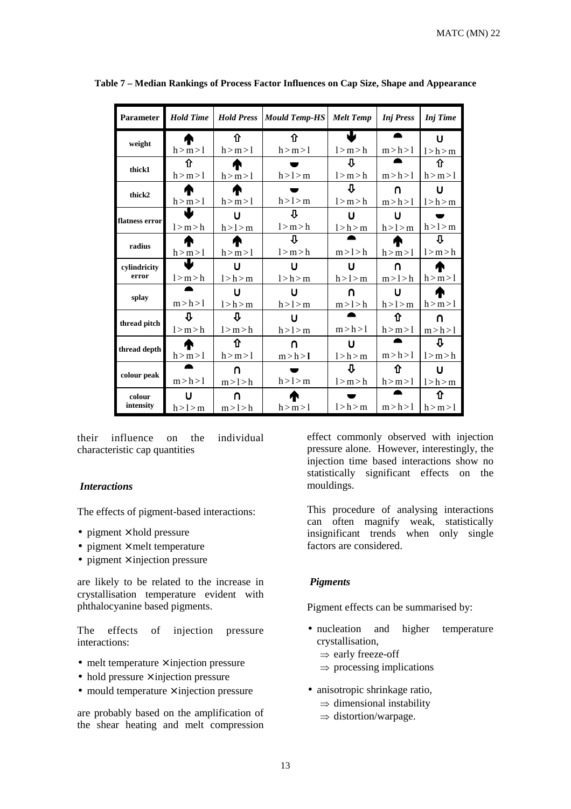MATC (MN) 22

| <b>Parameter</b> | <b>Hold Time</b> | <b>Hold Press</b> | <b>Mould Temp-HS</b> | <b>Melt Temp</b> | <b>Inj</b> Press | <b>Inj</b> Time |
|------------------|------------------|-------------------|----------------------|------------------|------------------|-----------------|
|                  | æ                | 仚                 | ⇑                    | J                | ▲                | Ū               |
| weight           | h > m > l        | h > m > l         | h > m > l            | l > m > h        | m > h > l        | l > h > m       |
|                  | ⇧                |                   |                      | ⇩                |                  | 介               |
| thick1           | h > m > l        | h > m > l         | h > l > m            | l > m > h        | m > h > l        | h > m > l       |
| thick2           |                  |                   |                      | ⇩                | n                | U               |
|                  | h > m > l        | h > m > 1         | h > l > m            | l > m > h        | m > h > l        | l > h > m       |
|                  | Ш                | U                 | ſĻ                   | U                | U                |                 |
| flatness error   | l > m > h        | h > l > m         | l > m > h            | l > h > m        | h > l > m        | h > l > m       |
|                  |                  |                   | ſĻ                   |                  | M                | ⇩               |
| radius           | h > m > l        | h > m > 1         | l > m > h            | m > l > h        | h > m > l        | l > m > h       |
| cylindricity     | J                | U                 | υ                    | U                | ∩                | æ               |
| error            | l > m > h        | l > h > m         | l > h > m            | h > l > m        | m > l > h        | h > m > l       |
|                  |                  | U                 | い                    | ∩                | U                | æ               |
| splay            | m > h > l        | l > h > m         | h > l > m            | m>l>h            | h > l > m        | h > m > l       |
| thread pitch     | ſĻ               | ſĻ                | い                    |                  | ⇑                | $\cap$          |
|                  | l > m > h        | l > m > h         | h > l > m            | m > h > l        | h > m > l        | m > h > l       |
|                  |                  | ⇑                 | $\cap$               | U                |                  | Π               |
| thread depth     | h > m > l        | h > m > l         | m > h > l            | l > h > m        | m > h > l        | l > m > h       |
|                  |                  | ∩                 |                      | ⇩                | ⇑                | U               |
| colour peak      | m > h > l        | m>1>h             | h > l > m            | l > m > h        | h > m > l        | l > h > m       |
| colour           |                  | ∩                 |                      |                  |                  | 介               |
| intensity        | h > l > m        | m>1>h             | h > m > l            | l > h > m        | m > h > l        | h > m > l       |

**Table 7 – Median Rankings of Process Factor Influences on Cap Size, Shape and Appearance**

their influence on the individual characteristic cap quantities

#### *Interactions*

The effects of pigment-based interactions:

- pigment  $\times$  hold pressure
- pigment  $\times$  melt temperature
- pigment  $\times$  injection pressure

are likely to be related to the increase in crystallisation temperature evident with phthalocyanine based pigments.

The effects of injection pressure interactions:

- melt temperature  $\times$  injection pressure
- $\bullet$  hold pressure  $\times$  injection pressure
- mould temperature  $\times$  injection pressure

are probably based on the amplification of the shear heating and melt compression

effect commonly observed with injection pressure alone. However, interestingly, the injection time based interactions show no statistically significant effects on the mouldings.

This procedure of analysing interactions can often magnify weak, statistically insignificant trends when only single factors are considered.

#### *Pigments*

Pigment effects can be summarised by:

- nucleation and higher temperature crystallisation,
	- ⇒ early freeze-off
	- $\Rightarrow$  processing implications
- anisotropic shrinkage ratio,  $\Rightarrow$  dimensional instability
	- $\Rightarrow$  distortion/warpage.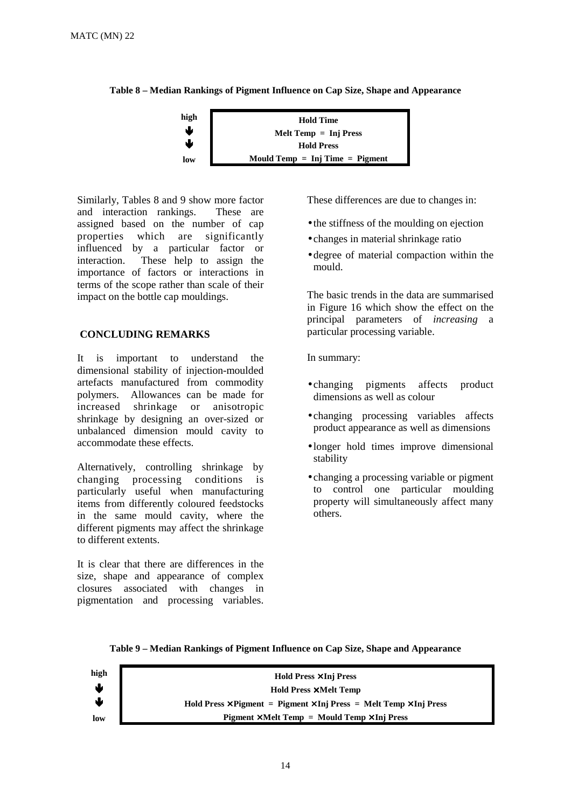**Table 8 – Median Rankings of Pigment Influence on Cap Size, Shape and Appearance**



Similarly, Tables 8 and 9 show more factor and interaction rankings. These are assigned based on the number of cap properties which are significantly influenced by a particular factor or interaction. These help to assign the importance of factors or interactions in terms of the scope rather than scale of their impact on the bottle cap mouldings.

# **CONCLUDING REMARKS**

It is important to understand the dimensional stability of injection-moulded artefacts manufactured from commodity polymers. Allowances can be made for increased shrinkage or anisotropic shrinkage by designing an over-sized or unbalanced dimension mould cavity to accommodate these effects.

Alternatively, controlling shrinkage by changing processing conditions is particularly useful when manufacturing items from differently coloured feedstocks in the same mould cavity, where the different pigments may affect the shrinkage to different extents.

It is clear that there are differences in the size, shape and appearance of complex closures associated with changes in pigmentation and processing variables.

These differences are due to changes in:

- the stiffness of the moulding on ejection
- changes in material shrinkage ratio
- degree of material compaction within the mould.

The basic trends in the data are summarised in Figure 16 which show the effect on the principal parameters of *increasing* a particular processing variable.

In summary:

- changing pigments affects product dimensions as well as colour
- changing processing variables affects product appearance as well as dimensions
- longer hold times improve dimensional stability
- changing a processing variable or pigment to control one particular moulding property will simultaneously affect many others.



#### **Table 9 – Median Rankings of Pigment Influence on Cap Size, Shape and Appearance**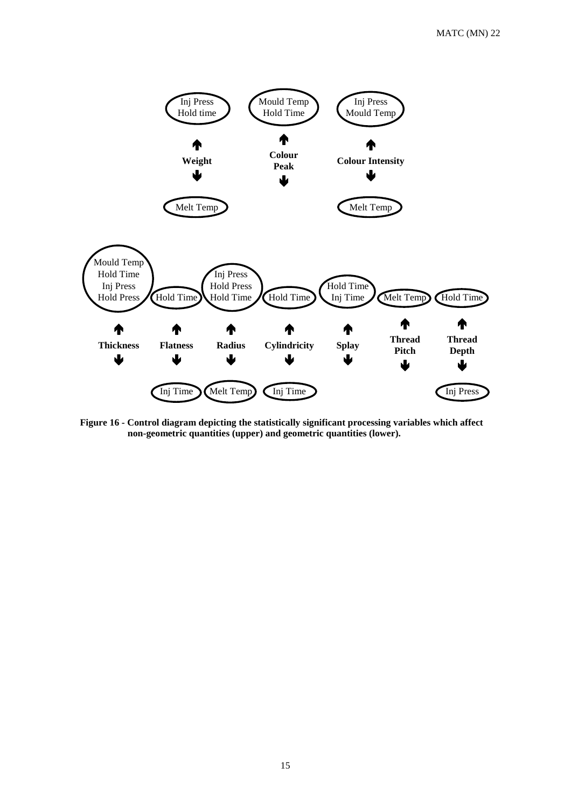

**Figure 16 - Control diagram depicting the statistically significant processing variables which affect non-geometric quantities (upper) and geometric quantities (lower).**